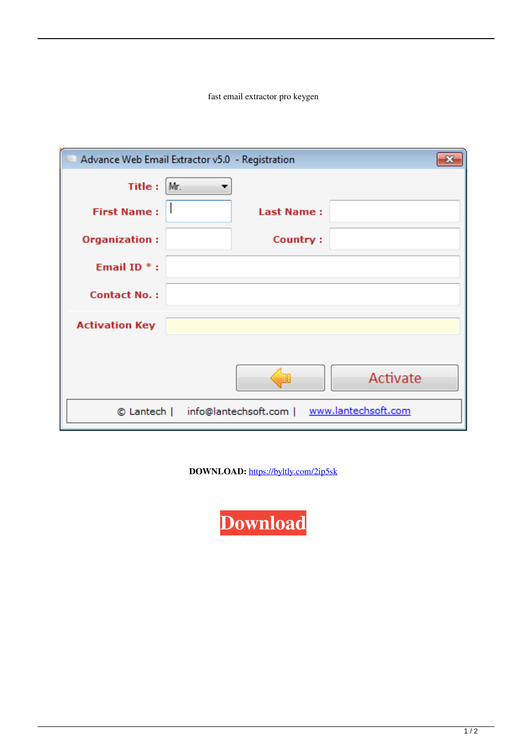fast email extractor pro keygen

|                       | Advance Web Email Extractor v5.0 - Registration         |
|-----------------------|---------------------------------------------------------|
| Title :               | Mr.                                                     |
| <b>First Name:</b>    | <b>Last Name:</b>                                       |
| <b>Organization:</b>  | Country:                                                |
| Email ID $*$ :        |                                                         |
| <b>Contact No.:</b>   |                                                         |
| <b>Activation Key</b> |                                                         |
|                       |                                                         |
|                       | Activate                                                |
|                       | www.lantechsoft.com<br>© Lantech   info@lantechsoft.com |

DOWNLOAD: https://byltly.com/2ip5sk